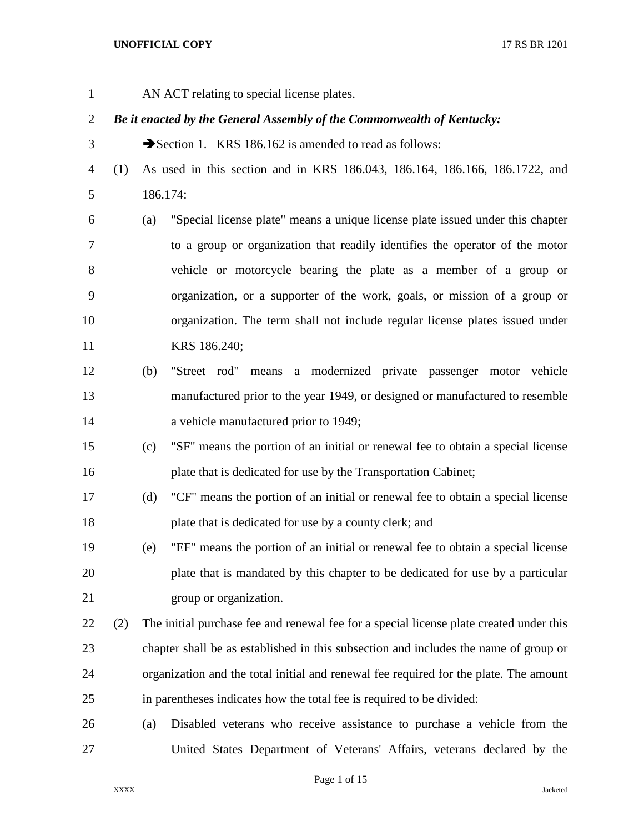AN ACT relating to special license plates.

# *Be it enacted by the General Assembly of the Commonwealth of Kentucky:*

- 3 Section 1. KRS 186.162 is amended to read as follows:
- (1) As used in this section and in KRS 186.043, 186.164, 186.166, 186.1722, and 186.174:
- (a) "Special license plate" means a unique license plate issued under this chapter to a group or organization that readily identifies the operator of the motor vehicle or motorcycle bearing the plate as a member of a group or organization, or a supporter of the work, goals, or mission of a group or organization. The term shall not include regular license plates issued under KRS 186.240;
- (b) "Street rod" means a modernized private passenger motor vehicle manufactured prior to the year 1949, or designed or manufactured to resemble 14 a vehicle manufactured prior to 1949;
- (c) "SF" means the portion of an initial or renewal fee to obtain a special license 16 plate that is dedicated for use by the Transportation Cabinet;
- (d) "CF" means the portion of an initial or renewal fee to obtain a special license plate that is dedicated for use by a county clerk; and
- (e) "EF" means the portion of an initial or renewal fee to obtain a special license plate that is mandated by this chapter to be dedicated for use by a particular group or organization.
- (2) The initial purchase fee and renewal fee for a special license plate created under this chapter shall be as established in this subsection and includes the name of group or organization and the total initial and renewal fee required for the plate. The amount in parentheses indicates how the total fee is required to be divided:
- (a) Disabled veterans who receive assistance to purchase a vehicle from the United States Department of Veterans' Affairs, veterans declared by the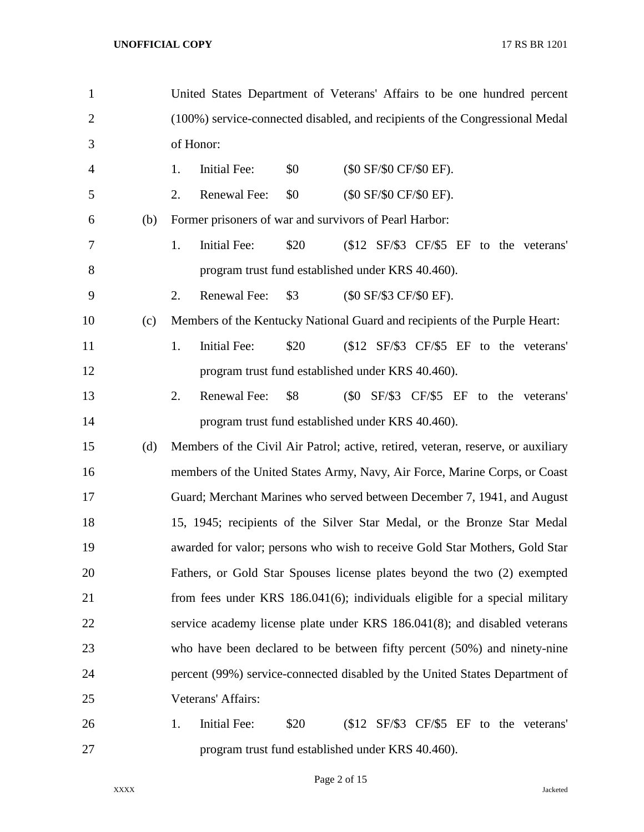| $\mathbf{1}$   |     | United States Department of Veterans' Affairs to be one hundred percent          |  |  |  |  |  |
|----------------|-----|----------------------------------------------------------------------------------|--|--|--|--|--|
| $\overline{2}$ |     | (100%) service-connected disabled, and recipients of the Congressional Medal     |  |  |  |  |  |
| 3              |     | of Honor:                                                                        |  |  |  |  |  |
| $\overline{4}$ |     | <b>Initial Fee:</b><br>\$0<br>(\$0 SF/\$0 CF/\$0 EF).<br>1.                      |  |  |  |  |  |
| 5              |     | 2.<br>Renewal Fee:<br>\$0<br>(\$0 SF/\$0 CF/\$0 EF).                             |  |  |  |  |  |
| 6              | (b) | Former prisoners of war and survivors of Pearl Harbor:                           |  |  |  |  |  |
| 7              |     | 1.<br>\$20<br>(\$12 SF/\$3 CF/\$5 EF to the veterans'<br><b>Initial Fee:</b>     |  |  |  |  |  |
| 8              |     | program trust fund established under KRS 40.460).                                |  |  |  |  |  |
| 9              |     | 2.<br>Renewal Fee:<br>\$3<br>(\$0 SF/\$3 CF/\$0 EF).                             |  |  |  |  |  |
| 10             | (c) | Members of the Kentucky National Guard and recipients of the Purple Heart:       |  |  |  |  |  |
| 11             |     | 1.<br>\$20<br>(\$12 SF/\$3 CF/\$5 EF to the veterans'<br><b>Initial Fee:</b>     |  |  |  |  |  |
| 12             |     | program trust fund established under KRS 40.460).                                |  |  |  |  |  |
| 13             |     | 2.<br>Renewal Fee:<br>\$8<br>(\$0 SF/\$3 CF/\$5 EF to the veterans'              |  |  |  |  |  |
| 14             |     | program trust fund established under KRS 40.460).                                |  |  |  |  |  |
| 15             | (d) | Members of the Civil Air Patrol; active, retired, veteran, reserve, or auxiliary |  |  |  |  |  |
| 16             |     | members of the United States Army, Navy, Air Force, Marine Corps, or Coast       |  |  |  |  |  |
| 17             |     | Guard; Merchant Marines who served between December 7, 1941, and August          |  |  |  |  |  |
| 18             |     | 15, 1945; recipients of the Silver Star Medal, or the Bronze Star Medal          |  |  |  |  |  |
| 19             |     | awarded for valor; persons who wish to receive Gold Star Mothers, Gold Star      |  |  |  |  |  |
| 20             |     | Fathers, or Gold Star Spouses license plates beyond the two (2) exempted         |  |  |  |  |  |
| 21             |     | from fees under KRS 186.041(6); individuals eligible for a special military      |  |  |  |  |  |
| 22             |     | service academy license plate under KRS 186.041(8); and disabled veterans        |  |  |  |  |  |
| 23             |     | who have been declared to be between fifty percent (50%) and ninety-nine         |  |  |  |  |  |
| 24             |     | percent (99%) service-connected disabled by the United States Department of      |  |  |  |  |  |
| 25             |     | Veterans' Affairs:                                                               |  |  |  |  |  |
| 26             |     | Initial Fee:<br>\$20<br>(\$12 SF/\$3 CF/\$5 EF to the veterans'<br>1.            |  |  |  |  |  |
| 27             |     | program trust fund established under KRS 40.460).                                |  |  |  |  |  |

Page 2 of 15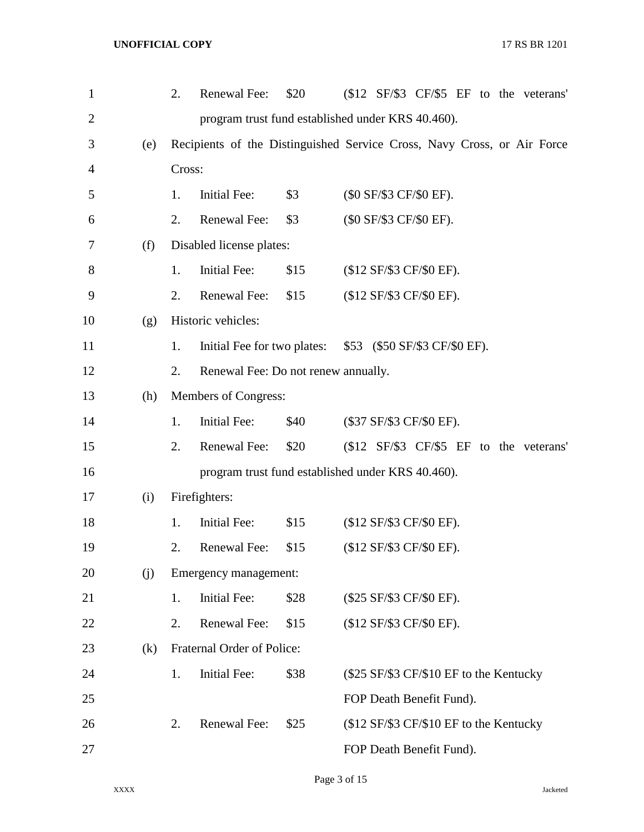| $\mathbf{1}$   |     | 2.                    | Renewal Fee:                                                            | \$20 |  | (\$12 SF/\$3 CF/\$5 EF to the veterans' |  |  |  |  |  |
|----------------|-----|-----------------------|-------------------------------------------------------------------------|------|--|-----------------------------------------|--|--|--|--|--|
| $\overline{2}$ |     |                       | program trust fund established under KRS 40.460).                       |      |  |                                         |  |  |  |  |  |
| 3              | (e) |                       | Recipients of the Distinguished Service Cross, Navy Cross, or Air Force |      |  |                                         |  |  |  |  |  |
| $\overline{4}$ |     |                       | Cross:                                                                  |      |  |                                         |  |  |  |  |  |
| 5              |     | 1.                    | <b>Initial Fee:</b>                                                     | \$3  |  | (\$0 SF/\$3 CF/\$0 EF).                 |  |  |  |  |  |
| 6              |     | 2.                    | Renewal Fee:                                                            | \$3  |  | (\$0 SF/\$3 CF/\$0 EF).                 |  |  |  |  |  |
| 7              | (f) |                       | Disabled license plates:                                                |      |  |                                         |  |  |  |  |  |
| 8              |     | 1.                    | <b>Initial Fee:</b>                                                     | \$15 |  | (\$12 SF/\$3 CF/\$0 EF).                |  |  |  |  |  |
| 9              |     | 2.                    | Renewal Fee:                                                            | \$15 |  | (\$12 SF/\$3 CF/\$0 EF).                |  |  |  |  |  |
| 10             | (g) |                       | Historic vehicles:                                                      |      |  |                                         |  |  |  |  |  |
| 11             |     | 1.                    | Initial Fee for two plates:                                             |      |  | \$53 (\$50 SF/\$3 CF/\$0 EF).           |  |  |  |  |  |
| 12             |     | 2.                    | Renewal Fee: Do not renew annually.                                     |      |  |                                         |  |  |  |  |  |
| 13             | (h) |                       | Members of Congress:                                                    |      |  |                                         |  |  |  |  |  |
| 14             |     | 1.                    | <b>Initial Fee:</b>                                                     | \$40 |  | (\$37 SF/\$3 CF/\$0 EF).                |  |  |  |  |  |
| 15             |     | 2.                    | Renewal Fee:                                                            | \$20 |  | (\$12 SF/\$3 CF/\$5 EF to the veterans' |  |  |  |  |  |
| 16             |     |                       | program trust fund established under KRS 40.460).                       |      |  |                                         |  |  |  |  |  |
| 17             | (i) |                       | Firefighters:                                                           |      |  |                                         |  |  |  |  |  |
| 18             |     | 1.                    | <b>Initial Fee:</b>                                                     | \$15 |  | (\$12 SF/\$3 CF/\$0 EF).                |  |  |  |  |  |
| 19             |     | 2.                    | Renewal Fee:                                                            | \$15 |  | (\$12 SF/\$3 CF/\$0 EF).                |  |  |  |  |  |
| 20             | (j) | Emergency management: |                                                                         |      |  |                                         |  |  |  |  |  |
| 21             |     | 1.                    | <b>Initial Fee:</b>                                                     | \$28 |  | (\$25 SF/\$3 CF/\$0 EF).                |  |  |  |  |  |
| 22             |     | 2.                    | Renewal Fee:                                                            | \$15 |  | (\$12 SF/\$3 CF/\$0 EF).                |  |  |  |  |  |
| 23             | (k) |                       | Fraternal Order of Police:                                              |      |  |                                         |  |  |  |  |  |
| 24             |     | 1.                    | <b>Initial Fee:</b>                                                     | \$38 |  | (\$25 SF/\$3 CF/\$10 EF to the Kentucky |  |  |  |  |  |
| 25             |     |                       |                                                                         |      |  | FOP Death Benefit Fund).                |  |  |  |  |  |
| 26             |     | 2.                    | Renewal Fee:                                                            | \$25 |  | (\$12 SF/\$3 CF/\$10 EF to the Kentucky |  |  |  |  |  |
| 27             |     |                       |                                                                         |      |  | FOP Death Benefit Fund).                |  |  |  |  |  |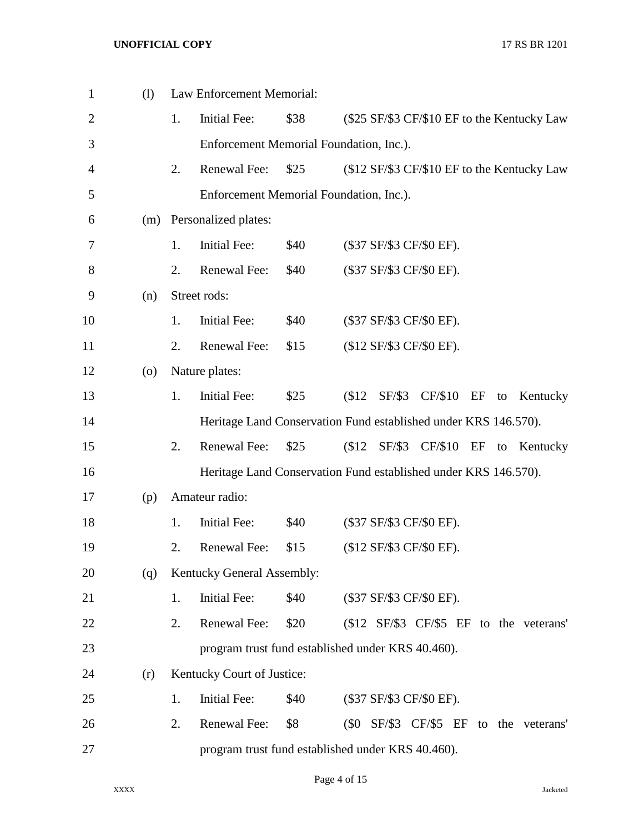| $\mathbf{1}$   | (1)                |    | Law Enforcement Memorial:               |      |                                                                 |
|----------------|--------------------|----|-----------------------------------------|------|-----------------------------------------------------------------|
| $\overline{2}$ |                    | 1. | <b>Initial Fee:</b>                     | \$38 | (\$25 SF/\$3 CF/\$10 EF to the Kentucky Law                     |
| 3              |                    |    | Enforcement Memorial Foundation, Inc.). |      |                                                                 |
| $\overline{4}$ |                    | 2. | Renewal Fee:                            | \$25 | (\$12 SF/\$3 CF/\$10 EF to the Kentucky Law                     |
| 5              |                    |    | Enforcement Memorial Foundation, Inc.). |      |                                                                 |
| 6              | (m)                |    | Personalized plates:                    |      |                                                                 |
| 7              |                    | 1. | <b>Initial Fee:</b>                     | \$40 | (\$37 SF/\$3 CF/\$0 EF).                                        |
| 8              |                    | 2. | Renewal Fee:                            | \$40 | (\$37 SF/\$3 CF/\$0 EF).                                        |
| 9              | (n)                |    | Street rods:                            |      |                                                                 |
| 10             |                    | 1. | <b>Initial Fee:</b>                     | \$40 | (\$37 SF/\$3 CF/\$0 EF).                                        |
| 11             |                    | 2. | Renewal Fee:                            | \$15 | (\$12 SF/\$3 CF/\$0 EF).                                        |
| 12             | $\left( 0 \right)$ |    | Nature plates:                          |      |                                                                 |
| 13             |                    | 1. | <b>Initial Fee:</b>                     | \$25 | SF/\$3 CF/\$10<br>\$12<br>EF<br>Kentucky<br>to                  |
| 14             |                    |    |                                         |      | Heritage Land Conservation Fund established under KRS 146.570). |
| 15             |                    | 2. | Renewal Fee:                            | \$25 | \$12<br>SF/\$3 CF/\$10<br>EF<br>Kentucky<br>to                  |
| 16             |                    |    |                                         |      | Heritage Land Conservation Fund established under KRS 146.570). |
| 17             | (p)                |    | Amateur radio:                          |      |                                                                 |
| 18             |                    | 1. | Initial Fee:                            | \$40 | (\$37 SF/\$3 CF/\$0 EF).                                        |
| 19             |                    | 2. | Renewal Fee:                            | \$15 | (\$12 SF/\$3 CF/\$0 EF).                                        |
| 20             | (q)                |    | Kentucky General Assembly:              |      |                                                                 |
| 21             |                    | 1. | <b>Initial Fee:</b>                     | \$40 | (\$37 SF/\$3 CF/\$0 EF).                                        |
| 22             |                    | 2. | Renewal Fee:                            | \$20 | (\$12 SF/\$3 CF/\$5 EF to the veterans'                         |
| 23             |                    |    |                                         |      | program trust fund established under KRS 40.460).               |
| 24             | (r)                |    | Kentucky Court of Justice:              |      |                                                                 |
| 25             |                    | 1. | <b>Initial Fee:</b>                     | \$40 | (\$37 SF/\$3 CF/\$0 EF).                                        |
| 26             |                    | 2. | Renewal Fee:                            | \$8  | (\$0 SF/\$3 CF/\$5 EF to the veterans'                          |
| 27             |                    |    |                                         |      | program trust fund established under KRS 40.460).               |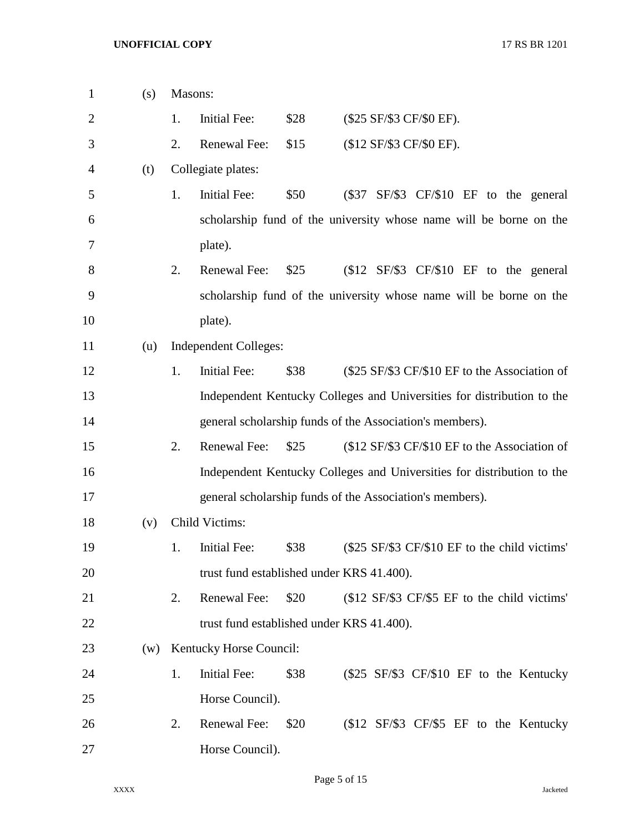| $\mathbf{1}$   | (s) | Masons:                                                                            |
|----------------|-----|------------------------------------------------------------------------------------|
| $\overline{2}$ |     | \$28<br>1.<br>Initial Fee:<br>(\$25 SF/\$3 CF/\$0 EF).                             |
| 3              |     | 2.<br>Renewal Fee:<br>\$15<br>(\$12 SF/\$3 CF/\$0 EF).                             |
| 4              | (t) | Collegiate plates:                                                                 |
| 5              |     | \$50<br>1.<br><b>Initial Fee:</b><br>SF/\$3 CF/\$10 EF to the general<br>(S37)     |
| 6              |     | scholarship fund of the university whose name will be borne on the                 |
| 7              |     | plate).                                                                            |
| 8              |     | 2.<br>\$25<br>$$12$ SF/\$3 CF/\$10 EF to the general<br>Renewal Fee:               |
| 9              |     | scholarship fund of the university whose name will be borne on the                 |
| 10             |     | plate).                                                                            |
| 11             | (u) | <b>Independent Colleges:</b>                                                       |
| 12             |     | 1.<br><b>Initial Fee:</b><br>\$38<br>(\$25 SF/\$3 CF/\$10 EF to the Association of |
| 13             |     | Independent Kentucky Colleges and Universities for distribution to the             |
| 14             |     | general scholarship funds of the Association's members).                           |
| 15             |     | 2.<br>Renewal Fee:<br>\$25<br>(\$12 SF/\$3 CF/\$10 EF to the Association of        |
| 16             |     | Independent Kentucky Colleges and Universities for distribution to the             |
| 17             |     | general scholarship funds of the Association's members).                           |
| 18             | (v) | Child Victims:                                                                     |
| 19             |     | Initial Fee:<br>\$38<br>(\$25 SF/\$3 CF/\$10 EF to the child victims'<br>1.        |
| 20             |     | trust fund established under KRS 41.400).                                          |
| 21             |     | Renewal Fee:<br>\$20<br>2.<br>(\$12 SF/\$3 CF/\$5 EF to the child victims'         |
| 22             |     | trust fund established under KRS 41.400).                                          |
| 23             | (w) | Kentucky Horse Council:                                                            |
| 24             |     | 1.<br>Initial Fee:<br>\$38<br>(\$25 SF/\$3 CF/\$10 EF to the Kentucky              |
| 25             |     | Horse Council).                                                                    |
| 26             |     | Renewal Fee:<br>2.<br>\$20<br>(\$12 SF/\$3 CF/\$5 EF to the Kentucky               |
| 27             |     | Horse Council).                                                                    |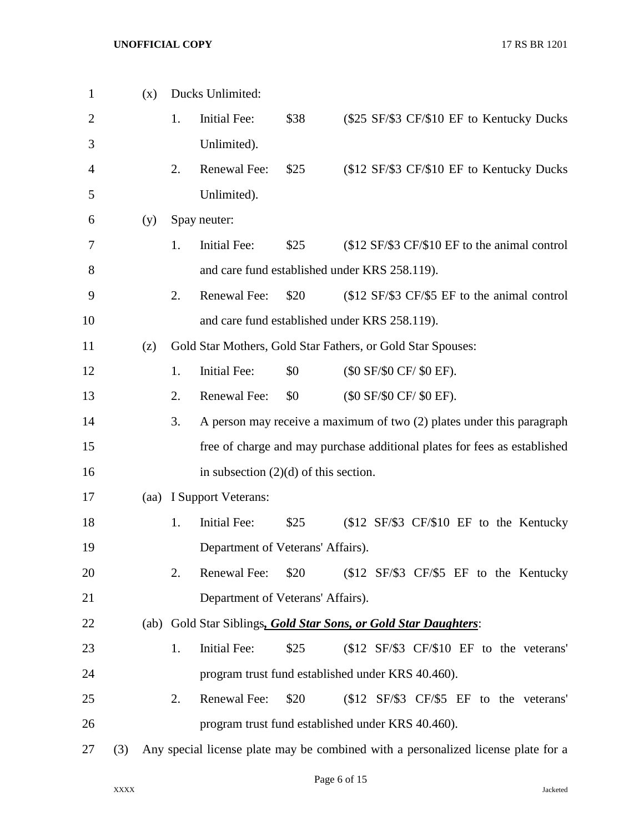| 1              |     | (x)  |    | Ducks Unlimited:                        |      |                                                                                   |
|----------------|-----|------|----|-----------------------------------------|------|-----------------------------------------------------------------------------------|
| $\overline{2}$ |     |      | 1. | <b>Initial Fee:</b>                     | \$38 | (\$25 SF/\$3 CF/\$10 EF to Kentucky Ducks)                                        |
| 3              |     |      |    | Unlimited).                             |      |                                                                                   |
| 4              |     |      | 2. | Renewal Fee:                            | \$25 | (\$12 SF/\$3 CF/\$10 EF to Kentucky Ducks)                                        |
| 5              |     |      |    | Unlimited).                             |      |                                                                                   |
| 6              |     | (y)  |    | Spay neuter:                            |      |                                                                                   |
| 7              |     |      | 1. | <b>Initial Fee:</b>                     | \$25 | (\$12 SF/\$3 CF/\$10 EF to the animal control                                     |
| 8              |     |      |    |                                         |      | and care fund established under KRS 258.119).                                     |
| 9              |     |      | 2. | Renewal Fee:                            | \$20 | (\$12 SF/\$3 CF/\$5 EF to the animal control                                      |
| 10             |     |      |    |                                         |      | and care fund established under KRS 258.119).                                     |
| 11             |     | (z)  |    |                                         |      | Gold Star Mothers, Gold Star Fathers, or Gold Star Spouses:                       |
| 12             |     |      | 1. | <b>Initial Fee:</b>                     | \$0  | (\$0 SF/\$0 CF/ \$0 EF).                                                          |
| 13             |     |      | 2. | Renewal Fee:                            | \$0  | (\$0 SF/\$0 CF/ \$0 EF).                                                          |
| 14             |     |      | 3. |                                         |      | A person may receive a maximum of two (2) plates under this paragraph             |
| 15             |     |      |    |                                         |      | free of charge and may purchase additional plates for fees as established         |
| 16             |     |      |    | in subsection $(2)(d)$ of this section. |      |                                                                                   |
| 17             |     | (aa) |    | I Support Veterans:                     |      |                                                                                   |
| 18             |     |      | 1. | <b>Initial Fee:</b>                     | \$25 | (\$12 SF/\$3 CF/\$10 EF to the Kentucky                                           |
| 19             |     |      |    | Department of Veterans' Affairs).       |      |                                                                                   |
| 20             |     |      | 2. | Renewal Fee:                            | \$20 | $$12$ SF/\$3 CF/\$5 EF to the Kentucky                                            |
| 21             |     |      |    | Department of Veterans' Affairs).       |      |                                                                                   |
| 22             |     |      |    |                                         |      | (ab) Gold Star Siblings, Gold Star Sons, or Gold Star Daughters:                  |
| 23             |     |      | 1. | Initial Fee:                            | \$25 | $$12$ SF/\$3 CF/\$10 EF to the veterans'                                          |
| 24             |     |      |    |                                         |      | program trust fund established under KRS 40.460).                                 |
| 25             |     |      | 2. | Renewal Fee:                            | \$20 | (\$12 SF/\$3 CF/\$5 EF to the veterans'                                           |
| 26             |     |      |    |                                         |      | program trust fund established under KRS 40.460).                                 |
| 27             | (3) |      |    |                                         |      | Any special license plate may be combined with a personalized license plate for a |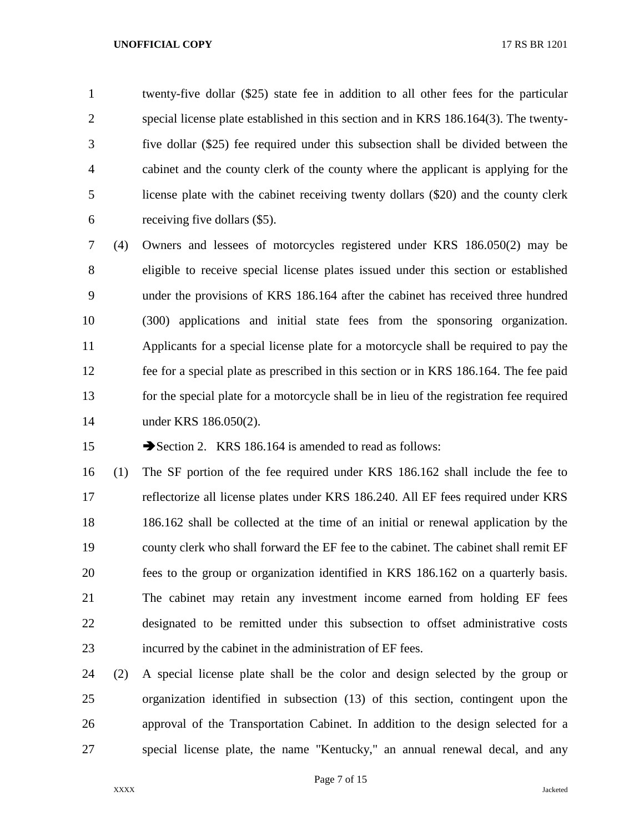twenty-five dollar (\$25) state fee in addition to all other fees for the particular special license plate established in this section and in KRS 186.164(3). The twenty- five dollar (\$25) fee required under this subsection shall be divided between the cabinet and the county clerk of the county where the applicant is applying for the license plate with the cabinet receiving twenty dollars (\$20) and the county clerk receiving five dollars (\$5).

 (4) Owners and lessees of motorcycles registered under KRS 186.050(2) may be eligible to receive special license plates issued under this section or established under the provisions of KRS 186.164 after the cabinet has received three hundred (300) applications and initial state fees from the sponsoring organization. Applicants for a special license plate for a motorcycle shall be required to pay the fee for a special plate as prescribed in this section or in KRS 186.164. The fee paid for the special plate for a motorcycle shall be in lieu of the registration fee required under KRS 186.050(2).

15 Section 2. KRS 186.164 is amended to read as follows:

 (1) The SF portion of the fee required under KRS 186.162 shall include the fee to reflectorize all license plates under KRS 186.240. All EF fees required under KRS 186.162 shall be collected at the time of an initial or renewal application by the county clerk who shall forward the EF fee to the cabinet. The cabinet shall remit EF fees to the group or organization identified in KRS 186.162 on a quarterly basis. The cabinet may retain any investment income earned from holding EF fees designated to be remitted under this subsection to offset administrative costs incurred by the cabinet in the administration of EF fees.

 (2) A special license plate shall be the color and design selected by the group or organization identified in subsection (13) of this section, contingent upon the approval of the Transportation Cabinet. In addition to the design selected for a special license plate, the name "Kentucky," an annual renewal decal, and any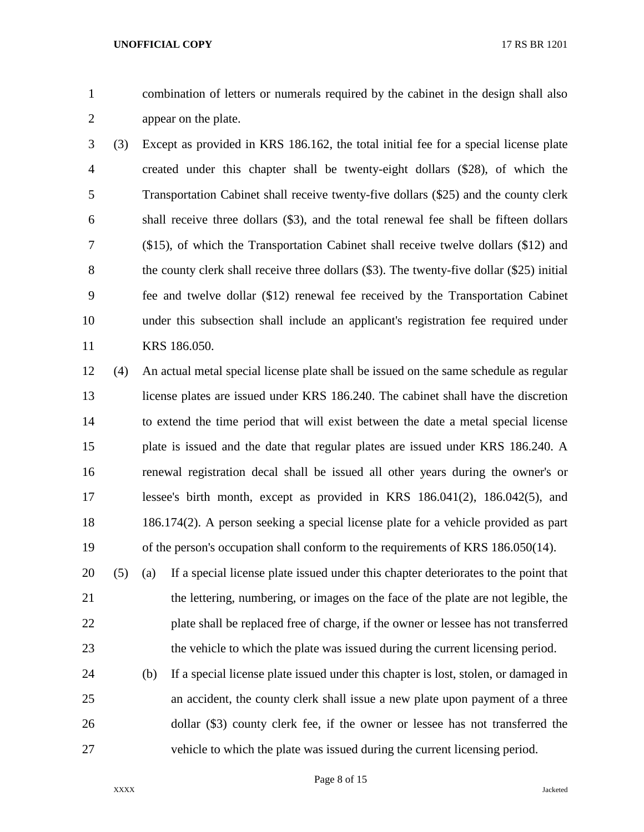combination of letters or numerals required by the cabinet in the design shall also appear on the plate.

 (3) Except as provided in KRS 186.162, the total initial fee for a special license plate created under this chapter shall be twenty-eight dollars (\$28), of which the Transportation Cabinet shall receive twenty-five dollars (\$25) and the county clerk shall receive three dollars (\$3), and the total renewal fee shall be fifteen dollars (\$15), of which the Transportation Cabinet shall receive twelve dollars (\$12) and 8 the county clerk shall receive three dollars (\$3). The twenty-five dollar (\$25) initial fee and twelve dollar (\$12) renewal fee received by the Transportation Cabinet under this subsection shall include an applicant's registration fee required under KRS 186.050.

 (4) An actual metal special license plate shall be issued on the same schedule as regular license plates are issued under KRS 186.240. The cabinet shall have the discretion to extend the time period that will exist between the date a metal special license plate is issued and the date that regular plates are issued under KRS 186.240. A renewal registration decal shall be issued all other years during the owner's or lessee's birth month, except as provided in KRS 186.041(2), 186.042(5), and 186.174(2). A person seeking a special license plate for a vehicle provided as part of the person's occupation shall conform to the requirements of KRS 186.050(14).

 (5) (a) If a special license plate issued under this chapter deteriorates to the point that the lettering, numbering, or images on the face of the plate are not legible, the plate shall be replaced free of charge, if the owner or lessee has not transferred the vehicle to which the plate was issued during the current licensing period.

 (b) If a special license plate issued under this chapter is lost, stolen, or damaged in an accident, the county clerk shall issue a new plate upon payment of a three dollar (\$3) county clerk fee, if the owner or lessee has not transferred the vehicle to which the plate was issued during the current licensing period.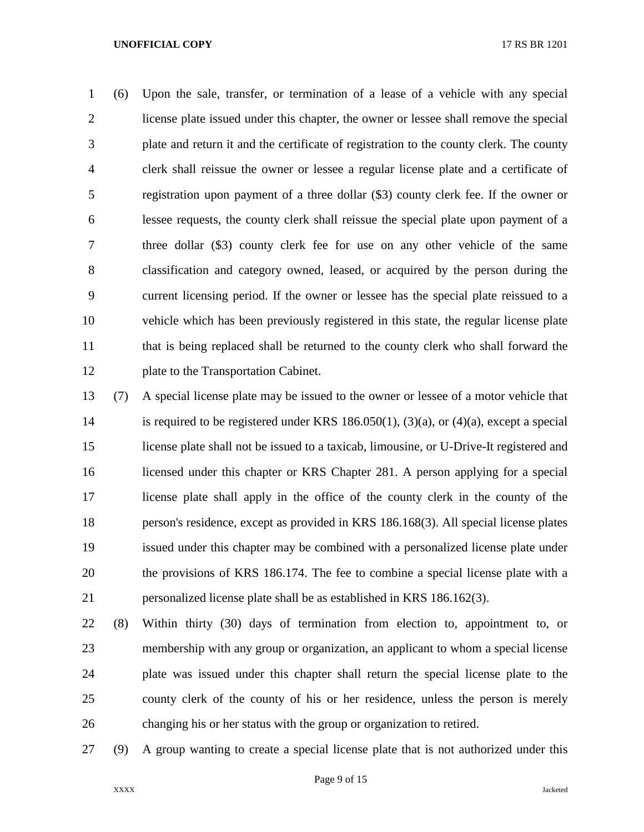(6) Upon the sale, transfer, or termination of a lease of a vehicle with any special license plate issued under this chapter, the owner or lessee shall remove the special plate and return it and the certificate of registration to the county clerk. The county clerk shall reissue the owner or lessee a regular license plate and a certificate of registration upon payment of a three dollar (\$3) county clerk fee. If the owner or lessee requests, the county clerk shall reissue the special plate upon payment of a three dollar (\$3) county clerk fee for use on any other vehicle of the same classification and category owned, leased, or acquired by the person during the current licensing period. If the owner or lessee has the special plate reissued to a vehicle which has been previously registered in this state, the regular license plate that is being replaced shall be returned to the county clerk who shall forward the plate to the Transportation Cabinet.

 (7) A special license plate may be issued to the owner or lessee of a motor vehicle that is required to be registered under KRS 186.050(1), (3)(a), or (4)(a), except a special license plate shall not be issued to a taxicab, limousine, or U-Drive-It registered and licensed under this chapter or KRS Chapter 281. A person applying for a special license plate shall apply in the office of the county clerk in the county of the person's residence, except as provided in KRS 186.168(3). All special license plates issued under this chapter may be combined with a personalized license plate under the provisions of KRS 186.174. The fee to combine a special license plate with a personalized license plate shall be as established in KRS 186.162(3).

 (8) Within thirty (30) days of termination from election to, appointment to, or membership with any group or organization, an applicant to whom a special license plate was issued under this chapter shall return the special license plate to the county clerk of the county of his or her residence, unless the person is merely changing his or her status with the group or organization to retired.

(9) A group wanting to create a special license plate that is not authorized under this

Page 9 of 15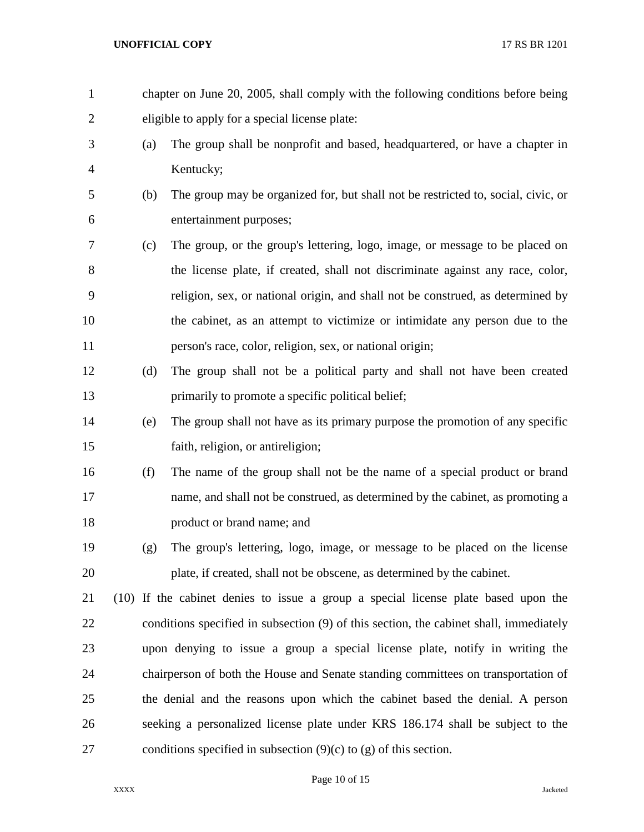chapter on June 20, 2005, shall comply with the following conditions before being eligible to apply for a special license plate: (a) The group shall be nonprofit and based, headquartered, or have a chapter in Kentucky; (b) The group may be organized for, but shall not be restricted to, social, civic, or entertainment purposes; (c) The group, or the group's lettering, logo, image, or message to be placed on the license plate, if created, shall not discriminate against any race, color, religion, sex, or national origin, and shall not be construed, as determined by the cabinet, as an attempt to victimize or intimidate any person due to the person's race, color, religion, sex, or national origin; (d) The group shall not be a political party and shall not have been created primarily to promote a specific political belief; (e) The group shall not have as its primary purpose the promotion of any specific faith, religion, or antireligion; (f) The name of the group shall not be the name of a special product or brand name, and shall not be construed, as determined by the cabinet, as promoting a product or brand name; and (g) The group's lettering, logo, image, or message to be placed on the license plate, if created, shall not be obscene, as determined by the cabinet. (10) If the cabinet denies to issue a group a special license plate based upon the conditions specified in subsection (9) of this section, the cabinet shall, immediately upon denying to issue a group a special license plate, notify in writing the chairperson of both the House and Senate standing committees on transportation of the denial and the reasons upon which the cabinet based the denial. A person seeking a personalized license plate under KRS 186.174 shall be subject to the 27 conditions specified in subsection  $(9)(c)$  to  $(g)$  of this section.

## Page 10 of 15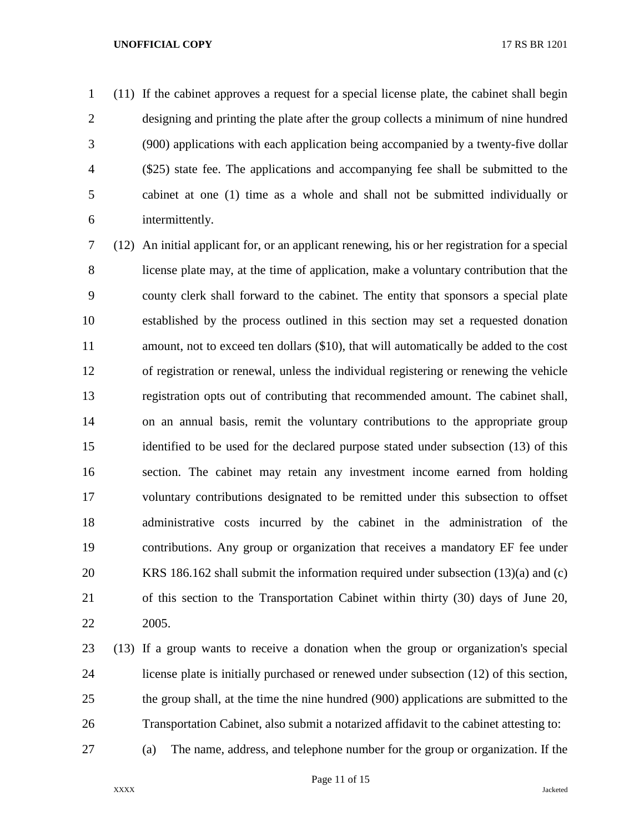(11) If the cabinet approves a request for a special license plate, the cabinet shall begin designing and printing the plate after the group collects a minimum of nine hundred (900) applications with each application being accompanied by a twenty-five dollar (\$25) state fee. The applications and accompanying fee shall be submitted to the cabinet at one (1) time as a whole and shall not be submitted individually or intermittently.

 (12) An initial applicant for, or an applicant renewing, his or her registration for a special license plate may, at the time of application, make a voluntary contribution that the county clerk shall forward to the cabinet. The entity that sponsors a special plate established by the process outlined in this section may set a requested donation amount, not to exceed ten dollars (\$10), that will automatically be added to the cost of registration or renewal, unless the individual registering or renewing the vehicle registration opts out of contributing that recommended amount. The cabinet shall, on an annual basis, remit the voluntary contributions to the appropriate group identified to be used for the declared purpose stated under subsection (13) of this section. The cabinet may retain any investment income earned from holding voluntary contributions designated to be remitted under this subsection to offset administrative costs incurred by the cabinet in the administration of the contributions. Any group or organization that receives a mandatory EF fee under KRS 186.162 shall submit the information required under subsection (13)(a) and (c) of this section to the Transportation Cabinet within thirty (30) days of June 20, 2005.

- (13) If a group wants to receive a donation when the group or organization's special license plate is initially purchased or renewed under subsection (12) of this section, the group shall, at the time the nine hundred (900) applications are submitted to the Transportation Cabinet, also submit a notarized affidavit to the cabinet attesting to:
- (a) The name, address, and telephone number for the group or organization. If the

Page 11 of 15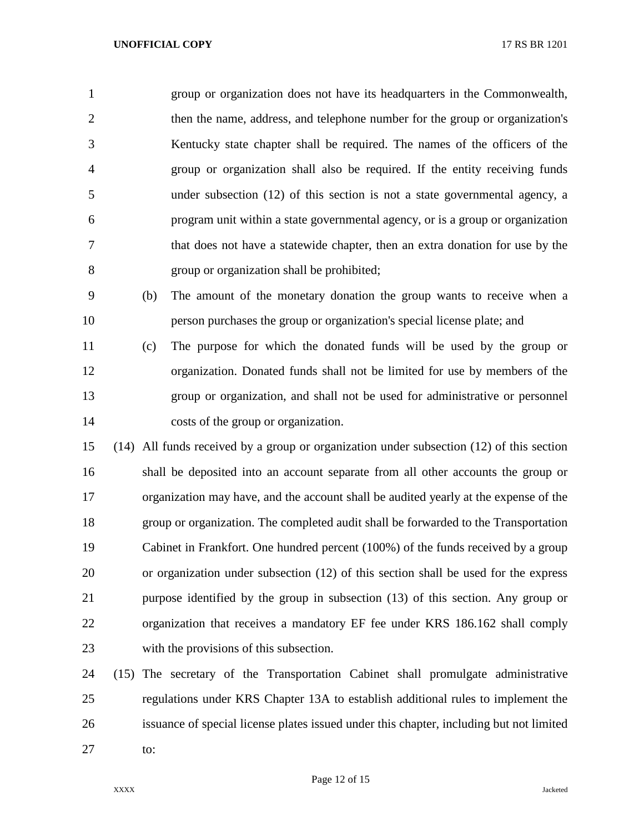group or organization does not have its headquarters in the Commonwealth, then the name, address, and telephone number for the group or organization's Kentucky state chapter shall be required. The names of the officers of the group or organization shall also be required. If the entity receiving funds under subsection (12) of this section is not a state governmental agency, a program unit within a state governmental agency, or is a group or organization that does not have a statewide chapter, then an extra donation for use by the group or organization shall be prohibited;

 (b) The amount of the monetary donation the group wants to receive when a person purchases the group or organization's special license plate; and

 (c) The purpose for which the donated funds will be used by the group or organization. Donated funds shall not be limited for use by members of the group or organization, and shall not be used for administrative or personnel costs of the group or organization.

 (14) All funds received by a group or organization under subsection (12) of this section shall be deposited into an account separate from all other accounts the group or organization may have, and the account shall be audited yearly at the expense of the group or organization. The completed audit shall be forwarded to the Transportation Cabinet in Frankfort. One hundred percent (100%) of the funds received by a group or organization under subsection (12) of this section shall be used for the express purpose identified by the group in subsection (13) of this section. Any group or organization that receives a mandatory EF fee under KRS 186.162 shall comply with the provisions of this subsection.

 (15) The secretary of the Transportation Cabinet shall promulgate administrative regulations under KRS Chapter 13A to establish additional rules to implement the issuance of special license plates issued under this chapter, including but not limited to: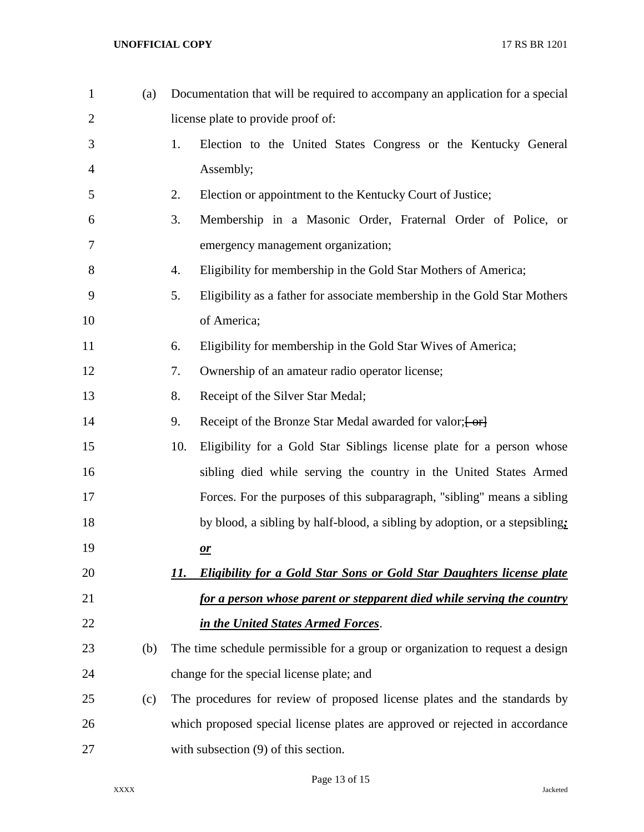| $\mathbf{1}$   | (a) | Documentation that will be required to accompany an application for a special       |
|----------------|-----|-------------------------------------------------------------------------------------|
| $\overline{2}$ |     | license plate to provide proof of:                                                  |
| 3              |     | Election to the United States Congress or the Kentucky General<br>1.                |
| 4              |     | Assembly;                                                                           |
| 5              |     | 2.<br>Election or appointment to the Kentucky Court of Justice;                     |
| 6              |     | 3.<br>Membership in a Masonic Order, Fraternal Order of Police, or                  |
| 7              |     | emergency management organization;                                                  |
| 8              |     | Eligibility for membership in the Gold Star Mothers of America;<br>4.               |
| 9              |     | 5.<br>Eligibility as a father for associate membership in the Gold Star Mothers     |
| 10             |     | of America;                                                                         |
| 11             |     | Eligibility for membership in the Gold Star Wives of America;<br>6.                 |
| 12             |     | 7.<br>Ownership of an amateur radio operator license;                               |
| 13             |     | 8.<br>Receipt of the Silver Star Medal;                                             |
| 14             |     | Receipt of the Bronze Star Medal awarded for valor; [-or]<br>9.                     |
| 15             |     | 10.<br>Eligibility for a Gold Star Siblings license plate for a person whose        |
| 16             |     | sibling died while serving the country in the United States Armed                   |
| 17             |     | Forces. For the purposes of this subparagraph, "sibling" means a sibling            |
| 18             |     | by blood, a sibling by half-blood, a sibling by adoption, or a stepsibling:         |
| 19             |     | $\mathbf{r}$                                                                        |
| 20             |     | <b>Eligibility for a Gold Star Sons or Gold Star Daughters license plate</b><br>11. |
| 21             |     | for a person whose parent or stepparent died while serving the country              |
| 22             |     | in the United States Armed Forces.                                                  |
| 23             | (b) | The time schedule permissible for a group or organization to request a design       |
| 24             |     | change for the special license plate; and                                           |
| 25             | (c) | The procedures for review of proposed license plates and the standards by           |
| 26             |     | which proposed special license plates are approved or rejected in accordance        |
| 27             |     | with subsection (9) of this section.                                                |

Page 13 of 15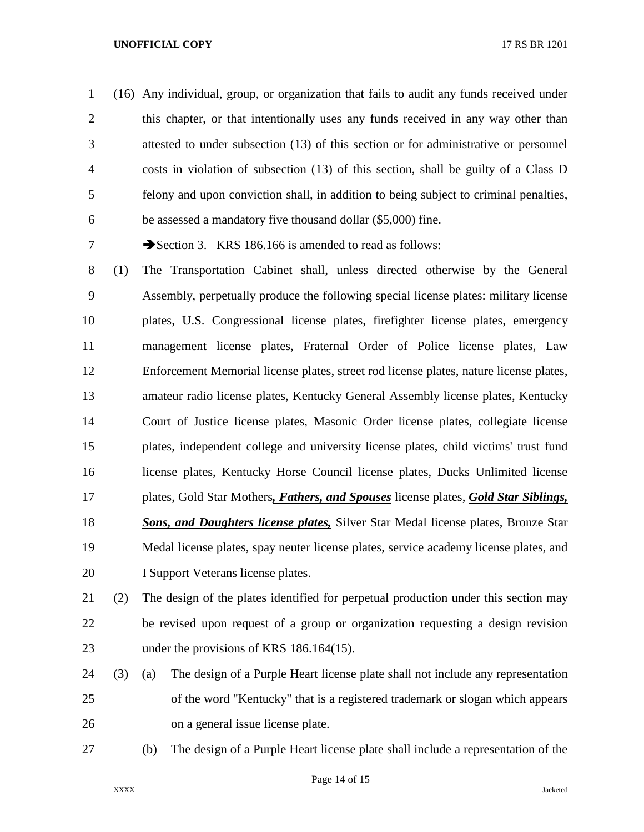(16) Any individual, group, or organization that fails to audit any funds received under this chapter, or that intentionally uses any funds received in any way other than attested to under subsection (13) of this section or for administrative or personnel costs in violation of subsection (13) of this section, shall be guilty of a Class D felony and upon conviction shall, in addition to being subject to criminal penalties, be assessed a mandatory five thousand dollar (\$5,000) fine.

7 Section 3. KRS 186.166 is amended to read as follows:

 (1) The Transportation Cabinet shall, unless directed otherwise by the General Assembly, perpetually produce the following special license plates: military license plates, U.S. Congressional license plates, firefighter license plates, emergency management license plates, Fraternal Order of Police license plates, Law Enforcement Memorial license plates, street rod license plates, nature license plates, amateur radio license plates, Kentucky General Assembly license plates, Kentucky Court of Justice license plates, Masonic Order license plates, collegiate license plates, independent college and university license plates, child victims' trust fund license plates, Kentucky Horse Council license plates, Ducks Unlimited license plates, Gold Star Mothers*, Fathers, and Spouses* license plates, *Gold Star Siblings, Sons, and Daughters license plates,* Silver Star Medal license plates, Bronze Star Medal license plates, spay neuter license plates, service academy license plates, and I Support Veterans license plates.

# (2) The design of the plates identified for perpetual production under this section may be revised upon request of a group or organization requesting a design revision 23 under the provisions of KRS 186.164(15).

- (3) (a) The design of a Purple Heart license plate shall not include any representation of the word "Kentucky" that is a registered trademark or slogan which appears on a general issue license plate.
- 

(b) The design of a Purple Heart license plate shall include a representation of the